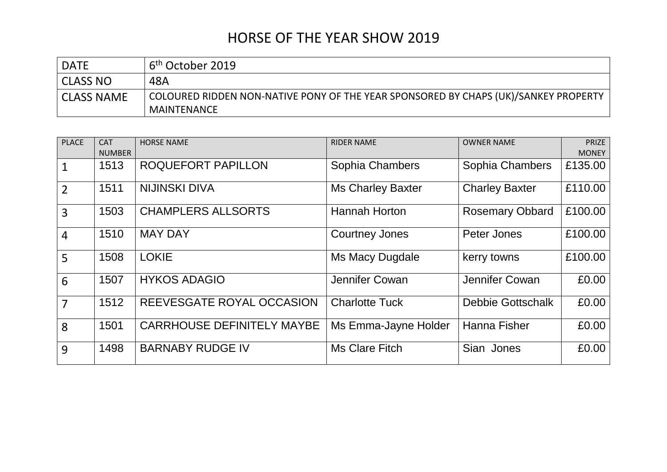| <b>DATE</b>       | 6 <sup>th</sup> October 2019                                                                              |
|-------------------|-----------------------------------------------------------------------------------------------------------|
| <b>CLASS NO</b>   | 48A                                                                                                       |
| <b>CLASS NAME</b> | COLOURED RIDDEN NON-NATIVE PONY OF THE YEAR SPONSORED BY CHAPS (UK)/SANKEY PROPERTY<br><b>MAINTENANCE</b> |

| <b>PLACE</b>   | <b>CAT</b><br><b>NUMBER</b> | <b>HORSE NAME</b>                 | <b>RIDER NAME</b>        | <b>OWNER NAME</b>        | <b>PRIZE</b><br><b>MONEY</b> |
|----------------|-----------------------------|-----------------------------------|--------------------------|--------------------------|------------------------------|
| $\mathbf{1}$   | 1513                        | ROQUEFORT PAPILLON                | Sophia Chambers          | Sophia Chambers          | £135.00                      |
| $\overline{2}$ | 1511                        | <b>NIJINSKI DIVA</b>              | <b>Ms Charley Baxter</b> | <b>Charley Baxter</b>    | £110.00                      |
| $\overline{3}$ | 1503                        | <b>CHAMPLERS ALLSORTS</b>         | <b>Hannah Horton</b>     | <b>Rosemary Obbard</b>   | £100.00                      |
| $\overline{4}$ | 1510                        | <b>MAY DAY</b>                    | <b>Courtney Jones</b>    | Peter Jones              | £100.00                      |
| 5              | 1508                        | <b>LOKIE</b>                      | Ms Macy Dugdale          | kerry towns              | £100.00                      |
| 6              | 1507                        | <b>HYKOS ADAGIO</b>               | Jennifer Cowan           | Jennifer Cowan           | £0.00                        |
| $\overline{7}$ | 1512                        | REEVESGATE ROYAL OCCASION         | <b>Charlotte Tuck</b>    | <b>Debbie Gottschalk</b> | £0.00                        |
| 8              | 1501                        | <b>CARRHOUSE DEFINITELY MAYBE</b> | Ms Emma-Jayne Holder     | <b>Hanna Fisher</b>      | £0.00                        |
| 9              | 1498                        | <b>BARNABY RUDGE IV</b>           | Ms Clare Fitch           | Sian Jones               | £0.00                        |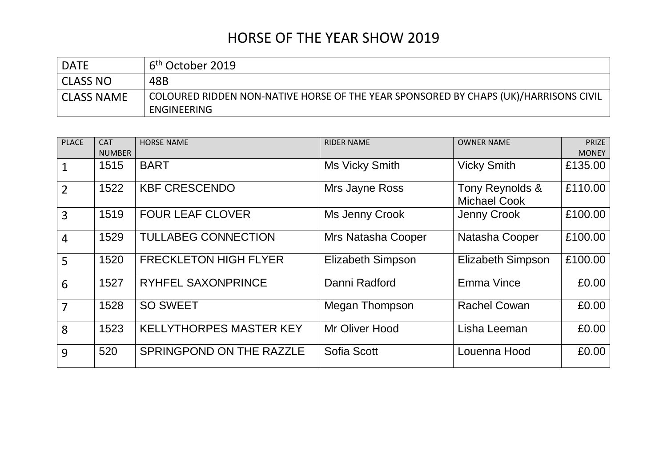| <b>DATE</b>       | . 6 <sup>th</sup> October 2019                                                                      |
|-------------------|-----------------------------------------------------------------------------------------------------|
| <b>CLASS NO</b>   | 48B                                                                                                 |
| <b>CLASS NAME</b> | COLOURED RIDDEN NON-NATIVE HORSE OF THE YEAR SPONSORED BY CHAPS (UK)/HARRISONS CIVIL<br>ENGINEERING |

| <b>PLACE</b>   | <b>CAT</b>    | <b>HORSE NAME</b>              | <b>RIDER NAME</b>        | <b>OWNER NAME</b>                      | <b>PRIZE</b> |
|----------------|---------------|--------------------------------|--------------------------|----------------------------------------|--------------|
|                | <b>NUMBER</b> |                                |                          |                                        | <b>MONEY</b> |
| 1              | 1515          | <b>BART</b>                    | Ms Vicky Smith           | <b>Vicky Smith</b>                     | £135.00      |
| $\overline{2}$ | 1522          | <b>KBF CRESCENDO</b>           | Mrs Jayne Ross           | Tony Reynolds &<br><b>Michael Cook</b> | £110.00      |
| 3              | 1519          | <b>FOUR LEAF CLOVER</b>        | Ms Jenny Crook           | Jenny Crook                            | £100.00      |
| $\overline{4}$ | 1529          | <b>TULLABEG CONNECTION</b>     | Mrs Natasha Cooper       | Natasha Cooper                         | £100.00      |
| 5              | 1520          | <b>FRECKLETON HIGH FLYER</b>   | <b>Elizabeth Simpson</b> | <b>Elizabeth Simpson</b>               | £100.00      |
| 6              | 1527          | <b>RYHFEL SAXONPRINCE</b>      | Danni Radford            | Emma Vince                             | £0.00        |
| $\overline{7}$ | 1528          | <b>SO SWEET</b>                | Megan Thompson           | <b>Rachel Cowan</b>                    | £0.00        |
| 8              | 1523          | <b>KELLYTHORPES MASTER KEY</b> | Mr Oliver Hood           | Lisha Leeman                           | £0.00        |
| 9              | 520           | SPRINGPOND ON THE RAZZLE       | Sofia Scott              | Louenna Hood                           | £0.00        |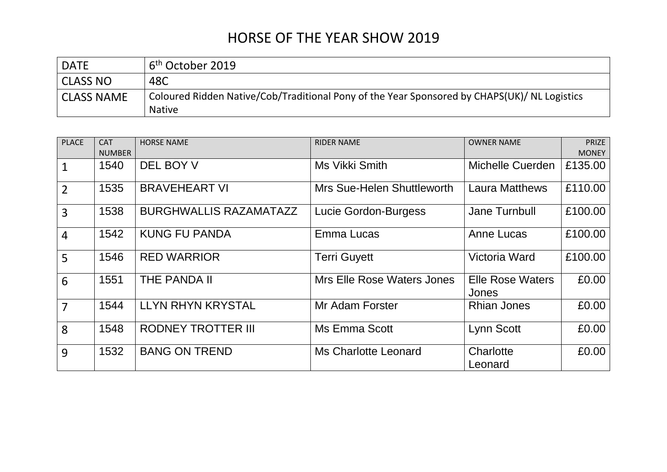| <b>DATE</b>       | 16 <sup>th</sup> October 2019                                                                                 |
|-------------------|---------------------------------------------------------------------------------------------------------------|
| <b>CLASS NO</b>   | 48C                                                                                                           |
| <b>CLASS NAME</b> | Coloured Ridden Native/Cob/Traditional Pony of the Year Sponsored by CHAPS(UK)/ NL Logistics<br><b>Native</b> |

| <b>PLACE</b>   | <b>CAT</b>    | <b>HORSE NAME</b>             | <b>RIDER NAME</b>                 | <b>OWNER NAME</b>                | <b>PRIZE</b> |
|----------------|---------------|-------------------------------|-----------------------------------|----------------------------------|--------------|
|                | <b>NUMBER</b> |                               |                                   |                                  | <b>MONEY</b> |
| $\mathbf{1}$   | 1540          | DEL BOY V                     | Ms Vikki Smith                    | Michelle Cuerden                 | £135.00      |
| $\overline{2}$ | 1535          | <b>BRAVEHEART VI</b>          | Mrs Sue-Helen Shuttleworth        | <b>Laura Matthews</b>            | £110.00      |
| $\overline{3}$ | 1538          | <b>BURGHWALLIS RAZAMATAZZ</b> | Lucie Gordon-Burgess              | Jane Turnbull                    | £100.00      |
| $\overline{4}$ | 1542          | <b>KUNG FU PANDA</b>          | Emma Lucas                        | Anne Lucas                       | £100.00      |
| 5              | 1546          | <b>RED WARRIOR</b>            | <b>Terri Guyett</b>               | Victoria Ward                    | £100.00      |
| 6              | 1551          | THE PANDA II                  | <b>Mrs Elle Rose Waters Jones</b> | <b>Elle Rose Waters</b><br>Jones | £0.00        |
| $\overline{7}$ | 1544          | <b>LLYN RHYN KRYSTAL</b>      | Mr Adam Forster                   | <b>Rhian Jones</b>               | £0.00        |
| 8              | 1548          | <b>RODNEY TROTTER III</b>     | Ms Emma Scott                     | Lynn Scott                       | £0.00        |
| 9              | 1532          | <b>BANG ON TREND</b>          | Ms Charlotte Leonard              | Charlotte<br>Leonard             | £0.00        |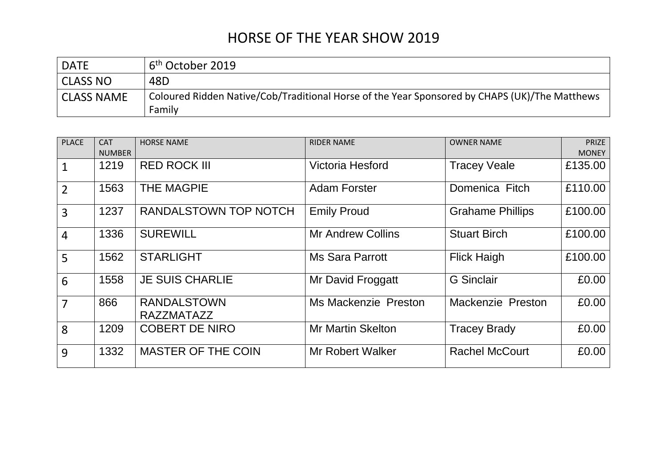| <b>DATE</b>       | ı 6 <sup>th</sup> October 2019 -                                                                        |
|-------------------|---------------------------------------------------------------------------------------------------------|
| <b>CLASS NO</b>   | 48D                                                                                                     |
| <b>CLASS NAME</b> | Coloured Ridden Native/Cob/Traditional Horse of the Year Sponsored by CHAPS (UK)/The Matthews<br>Family |

| <b>PLACE</b>   | <b>CAT</b>    | <b>HORSE NAME</b>                       | <b>RIDER NAME</b>        | <b>OWNER NAME</b>       | PRIZE        |
|----------------|---------------|-----------------------------------------|--------------------------|-------------------------|--------------|
|                | <b>NUMBER</b> |                                         |                          |                         | <b>MONEY</b> |
| $\mathbf{1}$   | 1219          | <b>RED ROCK III</b>                     | <b>Victoria Hesford</b>  | <b>Tracey Veale</b>     | £135.00      |
| $\overline{2}$ | 1563          | <b>THE MAGPIE</b>                       | <b>Adam Forster</b>      | Domenica Fitch          | £110.00      |
| $\overline{3}$ | 1237          | RANDALSTOWN TOP NOTCH                   | <b>Emily Proud</b>       | <b>Grahame Phillips</b> | £100.00      |
| $\overline{4}$ | 1336          | <b>SUREWILL</b>                         | <b>Mr Andrew Collins</b> | <b>Stuart Birch</b>     | £100.00      |
| 5              | 1562          | <b>STARLIGHT</b>                        | <b>Ms Sara Parrott</b>   | <b>Flick Haigh</b>      | £100.00      |
| 6              | 1558          | <b>JE SUIS CHARLIE</b>                  | Mr David Froggatt        | <b>G</b> Sinclair       | £0.00        |
| $\overline{7}$ | 866           | <b>RANDALSTOWN</b><br><b>RAZZMATAZZ</b> | Ms Mackenzie Preston     | Mackenzie Preston       | £0.00        |
| 8              | 1209          | <b>COBERT DE NIRO</b>                   | <b>Mr Martin Skelton</b> | <b>Tracey Brady</b>     | £0.00        |
| 9              | 1332          | <b>MASTER OF THE COIN</b>               | <b>Mr Robert Walker</b>  | <b>Rachel McCourt</b>   | £0.00        |